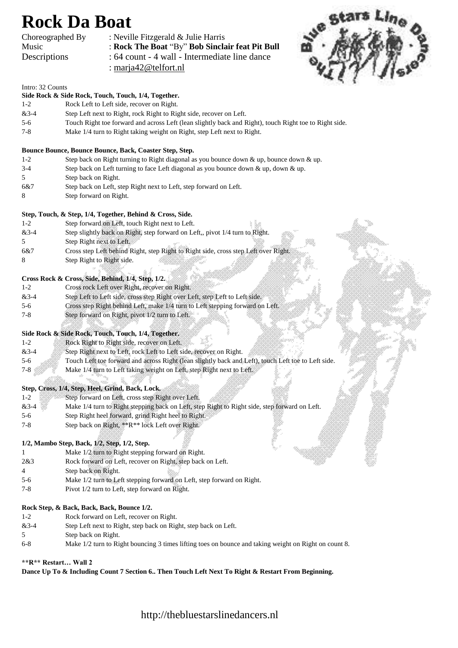# **Rock Da Boat**

| Choreographed By |  |
|------------------|--|
| Music            |  |
| Descriptions     |  |

: Neville Fitzgerald  $&$  Julie Harris : Rock The Boat "By" Bob Sinclair feat Pit Bull : 64 count - 4 wall - Intermediate line dance : [marja42@telfort.nl](mailto:marja42@telfort.nl)



#### Intro: 32 Counts

## **Side Rock & Side Rock, Touch, Touch, 1/4, Together.**

- 1-2 Rock Left to Left side, recover on Right.
- &3-4 Step Left next to Right, rock Right to Right side, recover on Left.
- 5-6 Touch Right toe forward and across Left (lean slightly back and Right), touch Right toe to Right side.
- 7-8 Make 1/4 turn to Right taking weight on Right, step Left next to Right.

#### **Bounce Bounce, Bounce Bounce, Back, Coaster Step, Step.**

- 1-2 Step back on Right turning to Right diagonal as you bounce down & up, bounce down & up.
- 3-4 Step back on Left turning to face Left diagonal as you bounce down & up, down & up.
- 5 Step back on Right.
- 6&7 Step back on Left, step Right next to Left, step forward on Left.
- 8 Step forward on Right.

#### **Step, Touch, & Step, 1/4, Together, Behind & Cross, Side.**

- 1-2 Step forward on Left, touch Right next to Left.
- &3-4 Step slightly back on Right, step forward on Left,, pivot 1/4 turn to Right.
- 5 Step Right next to Left.
- 6&7 Cross step Left behind Right, step Right to Right side, cross step Left over Right.
- 8 Step Right to Right side.

#### **Cross Rock & Cross, Side, Behind, 1/4, Step, 1/2.**

| $1 - 2$ | Cross rock Left over Right, recover on Right                                  |
|---------|-------------------------------------------------------------------------------|
| $&3-4$  | Step Left to Left side, cross step Right over Left, step Left to Left side.   |
| $5-6$   | Cross step Right behind Left, make 1/4 turn to Left stepping forward on Left. |
| 7-8     | Step forward on Right, pivot 1/2 turn to Left.                                |

#### **Side Rock & Side Rock, Touch, Touch, 1/4, Together.**

| $1 - 2$ | Rock Right to Right side, recover on Left.                                                          |  |
|---------|-----------------------------------------------------------------------------------------------------|--|
| $&3-4$  | Step Right next to Left, rock Left to Left side, recover on Right.                                  |  |
| $5-6$   | Touch Left toe forward and across Right (lean slightly back and Left), touch Left toe to Left side. |  |
| $7 - 8$ | Make 1/4 turn to Left taking weight on Left, step Right next to Left.                               |  |

#### **Step, Cross, 1/4, Step, Heel, Grind, Back, Lock.**

- 1-2 Step forward on Left, cross step Right over Left.
- &3-4 Make 1/4 turn to Right stepping back on Left, step Right to Right side, step forward on Left.
- 5-6 Step Right heel forward, grind Right heel to Right.
- 7-8 Step back on Right, \*\*R\*\* lock Left over Right.

#### **1/2, Mambo Step, Back, 1/2, Step, 1/2, Step.**

- 1 Make 1/2 turn to Right stepping forward on Right.
- 2&3 Rock forward on Left, recover on Right, step back on Left.
- 4 Step back on Right.
- 5-6 Make 1/2 turn to Left stepping forward on Left, step forward on Right.
- 7-8 Pivot 1/2 turn to Left, step forward on Right.

#### **Rock Step, & Back, Back, Back, Bounce 1/2.**

- 1-2 Rock forward on Left, recover on Right.
- &3-4 Step Left next to Right, step back on Right, step back on Left.
- 5 Step back on Right.
- 6-8 Make 1/2 turn to Right bouncing 3 times lifting toes on bounce and taking weight on Right on count 8.

#### **\*\*R\*\* Restart… Wall 2**

### **Dance Up To & Including Count 7 Section 6.. Then Touch Left Next To Right & Restart From Beginning.**

# http://thebluestarslinedancers.nl